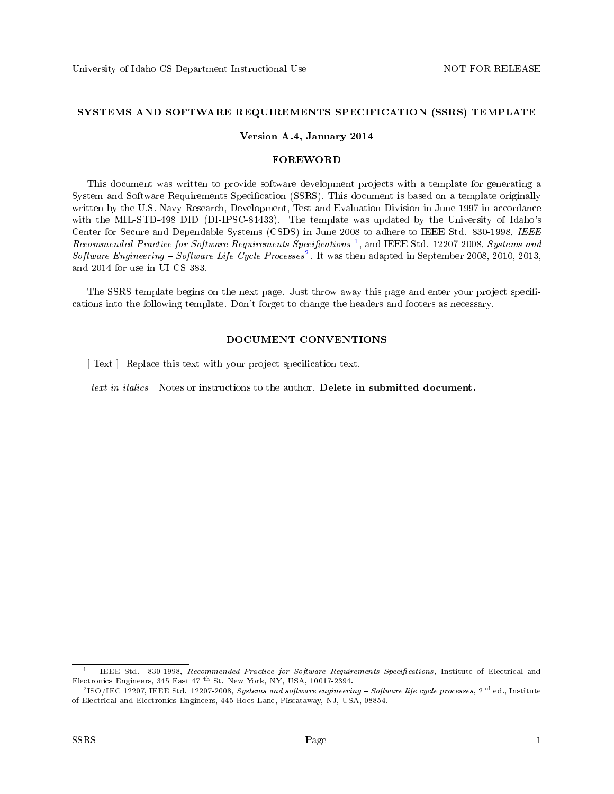#### SYSTEMS AND SOFTWARE REQUIREMENTS SPECIFICATION (SSRS) TEMPLATE

#### Version A.4, January 2014

#### FOREWORD

This document was written to provide software development projects with a template for generating a System and Software Requirements Specification (SSRS). This document is based on a template originally written by the U.S. Navy Research, Development, Test and Evaluation Division in June 1997 in accordance with the MIL-STD-498 DID (DI-IPSC-81433). The template was updated by the University of Idaho's Center for Secure and Dependable Systems (CSDS) in June 2008 to adhere to IEEE Std. 830-1998, IEEE  $Recommended~Practice~for~Software~ Requirements~Specifications<sup>1</sup>, and IEEE Std. 12207-2008, Systems and$  $Recommended~Practice~for~Software~ Requirements~Specifications<sup>1</sup>, and IEEE Std. 12207-2008, Systems and$  $Recommended~Practice~for~Software~ Requirements~Specifications<sup>1</sup>, and IEEE Std. 12207-2008, Systems and$ Software Engineering – Software Life Cycle Processes<sup>[2](#page-0-1)</sup>. It was then adapted in September 2008, 2010, 2013, and 2014 for use in UI CS 383.

The SSRS template begins on the next page. Just throw away this page and enter your project specifications into the following template. Don't forget to change the headers and footers as necessary.

#### DOCUMENT CONVENTIONS

[ Text ] Replace this text with your project specification text.

text in *italics* Notes or instructions to the author. Delete in submitted document.

<span id="page-0-0"></span><sup>1</sup> IEEE Std. 830-1998, Recommended Practice for Software Requirements Specifications, Institute of Electrical and Electronics Engineers, 345 East 47 th St. New York, NY, USA, 10017-2394.

<span id="page-0-1"></span> $^{2}$ ISO/IEC 12207, IEEE Std. 12207-2008, Systems and software engineering – Software life cycle processes, 2<sup>nd</sup> ed., Institute of Electrical and Electronics Engineers, 445 Hoes Lane, Piscataway, NJ, USA, 08854.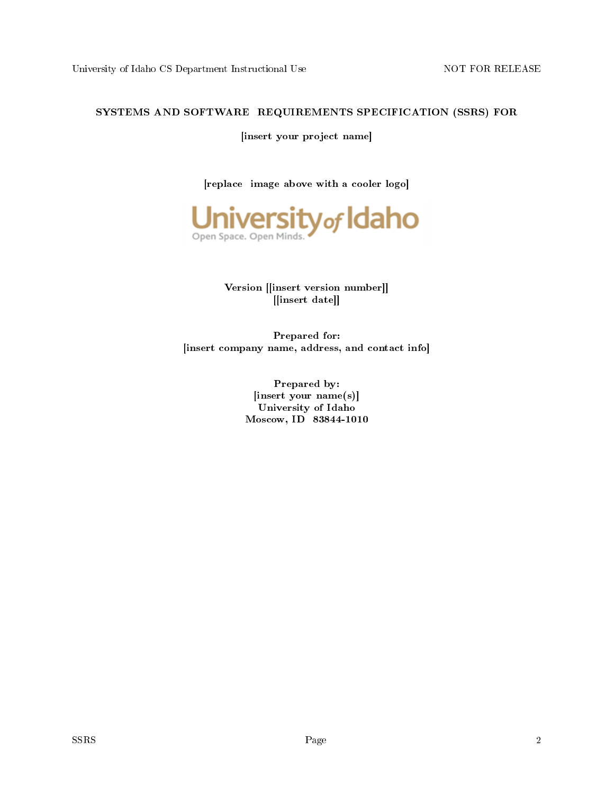### SYSTEMS AND SOFTWARE REQUIREMENTS SPECIFICATION (SSRS) FOR

[insert your project name]

[replace image above with a cooler logo]



Version [[insert version number]] [[insert date]]

Prepared for: [insert company name, address, and contact info]

> Prepared by: [insert your name(s)] University of Idaho Moscow, ID 83844-1010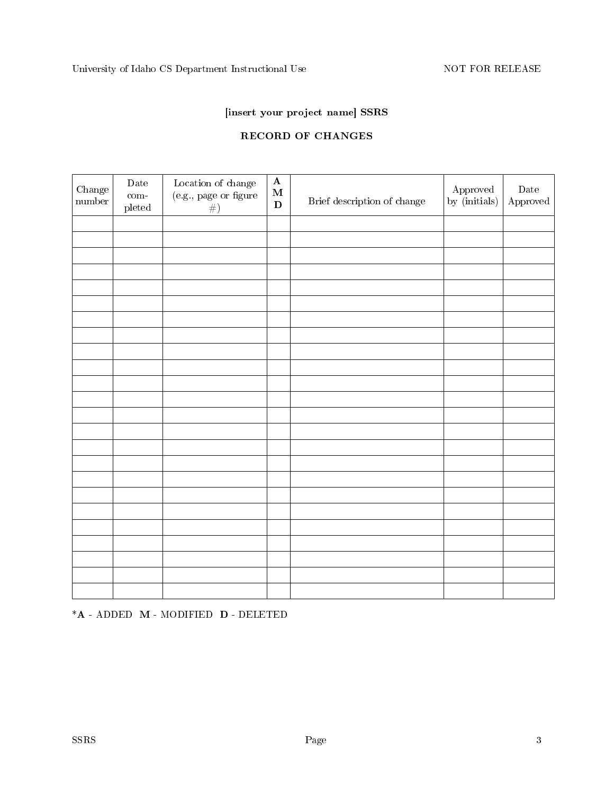# [insert your project name] SSRS

# RECORD OF CHANGES

| Change<br>$\hbox{number}$ | $\rm{\textbf{Date}}$<br>$com-$<br>$_{\rm pleted}$ | $\begin{array}{c} \text{Location of change} \\ \text{(e.g., page or figure)} \end{array}$<br># | $\mathbf A$<br>$\mathbf M$<br>D | Brief description of change | Approved<br>by (initials) | $\rm{Date}$<br>${\Large{\bf\large Approved}}$ |
|---------------------------|---------------------------------------------------|------------------------------------------------------------------------------------------------|---------------------------------|-----------------------------|---------------------------|-----------------------------------------------|
|                           |                                                   |                                                                                                |                                 |                             |                           |                                               |
|                           |                                                   |                                                                                                |                                 |                             |                           |                                               |
|                           |                                                   |                                                                                                |                                 |                             |                           |                                               |
|                           |                                                   |                                                                                                |                                 |                             |                           |                                               |
|                           |                                                   |                                                                                                |                                 |                             |                           |                                               |
|                           |                                                   |                                                                                                |                                 |                             |                           |                                               |
|                           |                                                   |                                                                                                |                                 |                             |                           |                                               |
|                           |                                                   |                                                                                                |                                 |                             |                           |                                               |
|                           |                                                   |                                                                                                |                                 |                             |                           |                                               |
|                           |                                                   |                                                                                                |                                 |                             |                           |                                               |
|                           |                                                   |                                                                                                |                                 |                             |                           |                                               |
|                           |                                                   |                                                                                                |                                 |                             |                           |                                               |
|                           |                                                   |                                                                                                |                                 |                             |                           |                                               |
|                           |                                                   |                                                                                                |                                 |                             |                           |                                               |
|                           |                                                   |                                                                                                |                                 |                             |                           |                                               |
|                           |                                                   |                                                                                                |                                 |                             |                           |                                               |
|                           |                                                   |                                                                                                |                                 |                             |                           |                                               |
|                           |                                                   |                                                                                                |                                 |                             |                           |                                               |
|                           |                                                   |                                                                                                |                                 |                             |                           |                                               |
|                           |                                                   |                                                                                                |                                 |                             |                           |                                               |
|                           |                                                   |                                                                                                |                                 |                             |                           |                                               |
|                           |                                                   |                                                                                                |                                 |                             |                           |                                               |
|                           |                                                   |                                                                                                |                                 |                             |                           |                                               |
|                           |                                                   |                                                                                                |                                 |                             |                           |                                               |

\*A - ADDED M - MODIFIED D - DELETED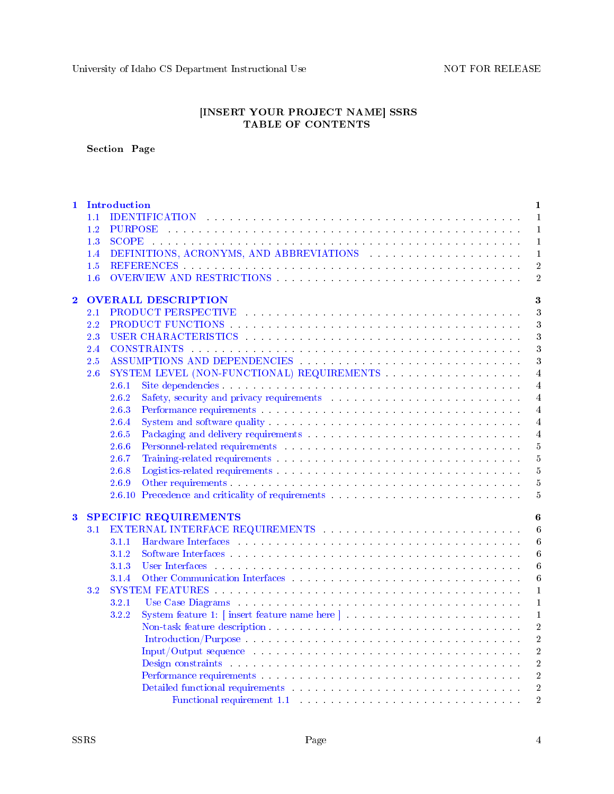University of Idaho CS Department Instructional Use  $\hfill\text{NOT FOR RELEASE}$ 

#### [INSERT YOUR PROJECT NAME] SSRS TABLE OF CONTENTS

### Section Page

| $\mathbf{1}$   | 1.1<br>1.2<br>1.3<br>1.4<br>1.5<br>1.6 | Introduction   | $\mathbf{1}$<br>IDENTIFICATION Experience in the contract of the contract of the contract of the contract of the contract of the contract of the contract of the contract of the contract of the contract of the contract of the contract of t<br>$\mathbf{1}$<br>PURPOSE des conservations and conservation and conservation and conservation of the conservation of the conservation of the conservation of the conservation of the conservation of the conservation of the conservation of th<br>$\mathbf{1}$<br>$\mathbf{1}$<br>DEFINITIONS, ACRONYMS, AND ABBREVIATIONS Experience of the set of the set of the set of the set of the set of the set of the set of the set of the set of the set of the set of the set of the set of the set of the set of th<br>$\mathbf{1}$<br>$\overline{2}$<br>$\overline{2}$ |
|----------------|----------------------------------------|----------------|------------------------------------------------------------------------------------------------------------------------------------------------------------------------------------------------------------------------------------------------------------------------------------------------------------------------------------------------------------------------------------------------------------------------------------------------------------------------------------------------------------------------------------------------------------------------------------------------------------------------------------------------------------------------------------------------------------------------------------------------------------------------------------------------------------------------|
| $\overline{2}$ |                                        |                | <b>OVERALL DESCRIPTION</b><br>3                                                                                                                                                                                                                                                                                                                                                                                                                                                                                                                                                                                                                                                                                                                                                                                        |
|                | 2.1                                    |                | $\overline{3}$                                                                                                                                                                                                                                                                                                                                                                                                                                                                                                                                                                                                                                                                                                                                                                                                         |
|                | 2.2                                    |                | 3                                                                                                                                                                                                                                                                                                                                                                                                                                                                                                                                                                                                                                                                                                                                                                                                                      |
|                | 2.3                                    |                | USER CHARACTERISTICS And the state of the state of the state of the state of the state of the state of the state of the state of the state of the state of the state of the state of the state of the state of the state of th<br>3                                                                                                                                                                                                                                                                                                                                                                                                                                                                                                                                                                                    |
|                | 2.4                                    |                | $\overline{3}$                                                                                                                                                                                                                                                                                                                                                                                                                                                                                                                                                                                                                                                                                                                                                                                                         |
|                | 2.5                                    |                | 3<br>ASSUMPTIONS AND DEPENDENCIES And a series of the series of the series of the series of the series of the series of the series of the series of the series of the series of the series of the series of the series of the serie                                                                                                                                                                                                                                                                                                                                                                                                                                                                                                                                                                                    |
|                | 2.6                                    |                | $\overline{4}$                                                                                                                                                                                                                                                                                                                                                                                                                                                                                                                                                                                                                                                                                                                                                                                                         |
|                |                                        | 2.6.1          | $\overline{4}$                                                                                                                                                                                                                                                                                                                                                                                                                                                                                                                                                                                                                                                                                                                                                                                                         |
|                |                                        | 2.6.2          | Safety, security and privacy requirements and a security of the security and privacy requirements<br>$\overline{4}$                                                                                                                                                                                                                                                                                                                                                                                                                                                                                                                                                                                                                                                                                                    |
|                |                                        | 2.6.3          | $\overline{4}$                                                                                                                                                                                                                                                                                                                                                                                                                                                                                                                                                                                                                                                                                                                                                                                                         |
|                |                                        | 2.6.4          | $\overline{4}$                                                                                                                                                                                                                                                                                                                                                                                                                                                                                                                                                                                                                                                                                                                                                                                                         |
|                |                                        | 2.6.5          | $\overline{4}$                                                                                                                                                                                                                                                                                                                                                                                                                                                                                                                                                                                                                                                                                                                                                                                                         |
|                |                                        | 2.6.6          | Personnel-related requirements with a subsequent of the set of the set of the set of the set of the set of the set of the set of the set of the set of the set of the set of the set of the set of the set of the set of the s<br>5                                                                                                                                                                                                                                                                                                                                                                                                                                                                                                                                                                                    |
|                |                                        | 2.6.7          | $\overline{5}$                                                                                                                                                                                                                                                                                                                                                                                                                                                                                                                                                                                                                                                                                                                                                                                                         |
|                |                                        | 2.6.8          | $\overline{5}$                                                                                                                                                                                                                                                                                                                                                                                                                                                                                                                                                                                                                                                                                                                                                                                                         |
|                |                                        | 2.6.9          | 5                                                                                                                                                                                                                                                                                                                                                                                                                                                                                                                                                                                                                                                                                                                                                                                                                      |
|                |                                        |                | 2.6.10 Precedence and criticality of requirements And Allen Communications and criticality of requirements<br>$\overline{5}$                                                                                                                                                                                                                                                                                                                                                                                                                                                                                                                                                                                                                                                                                           |
|                |                                        |                |                                                                                                                                                                                                                                                                                                                                                                                                                                                                                                                                                                                                                                                                                                                                                                                                                        |
| $\bf{3}$       |                                        |                | SPECIFIC REQUIREMENTS<br>6                                                                                                                                                                                                                                                                                                                                                                                                                                                                                                                                                                                                                                                                                                                                                                                             |
|                | 3.1                                    |                | $\boldsymbol{6}$                                                                                                                                                                                                                                                                                                                                                                                                                                                                                                                                                                                                                                                                                                                                                                                                       |
|                |                                        | 3.1.1          | 6                                                                                                                                                                                                                                                                                                                                                                                                                                                                                                                                                                                                                                                                                                                                                                                                                      |
|                |                                        | 3.1.2          | 6                                                                                                                                                                                                                                                                                                                                                                                                                                                                                                                                                                                                                                                                                                                                                                                                                      |
|                |                                        | 3.1.3          | User Interfaces and a contract the contract of the contract of the contract of the contract of the contract of the contract of the contract of the contract of the contract of the contract of the contract of the contract of<br>6                                                                                                                                                                                                                                                                                                                                                                                                                                                                                                                                                                                    |
|                |                                        | 3.1.4          | 6                                                                                                                                                                                                                                                                                                                                                                                                                                                                                                                                                                                                                                                                                                                                                                                                                      |
|                | 3.2                                    |                | 1                                                                                                                                                                                                                                                                                                                                                                                                                                                                                                                                                                                                                                                                                                                                                                                                                      |
|                |                                        | 3.2.1<br>3.2.2 | Use Case Diagrams response to the contract of the contract of the contract of the contract of the contract of the contract of the contract of the contract of the contract of the contract of the contract of the contract of<br>$\mathbf{1}$                                                                                                                                                                                                                                                                                                                                                                                                                                                                                                                                                                          |
|                |                                        |                | 1                                                                                                                                                                                                                                                                                                                                                                                                                                                                                                                                                                                                                                                                                                                                                                                                                      |
|                |                                        |                | $\overline{2}$                                                                                                                                                                                                                                                                                                                                                                                                                                                                                                                                                                                                                                                                                                                                                                                                         |
|                |                                        |                | $\overline{2}$                                                                                                                                                                                                                                                                                                                                                                                                                                                                                                                                                                                                                                                                                                                                                                                                         |
|                |                                        |                | $\overline{2}$                                                                                                                                                                                                                                                                                                                                                                                                                                                                                                                                                                                                                                                                                                                                                                                                         |
|                |                                        |                | $\overline{2}$<br>Design constraints (and a consequence of the contract of the consequence of the consequence of the consequence of the consequence of the consequence of the consequence of the consequence of the consequence of the consequen                                                                                                                                                                                                                                                                                                                                                                                                                                                                                                                                                                       |
|                |                                        |                | $\overline{2}$                                                                                                                                                                                                                                                                                                                                                                                                                                                                                                                                                                                                                                                                                                                                                                                                         |
|                |                                        |                | $\overline{2}$<br>Detailed functional requirements with a subset of the state of the state of the state of the state of the state of the state of the state of the state of the state of the state of the state of the state of the state of the                                                                                                                                                                                                                                                                                                                                                                                                                                                                                                                                                                       |
|                |                                        |                | $\overline{2}$                                                                                                                                                                                                                                                                                                                                                                                                                                                                                                                                                                                                                                                                                                                                                                                                         |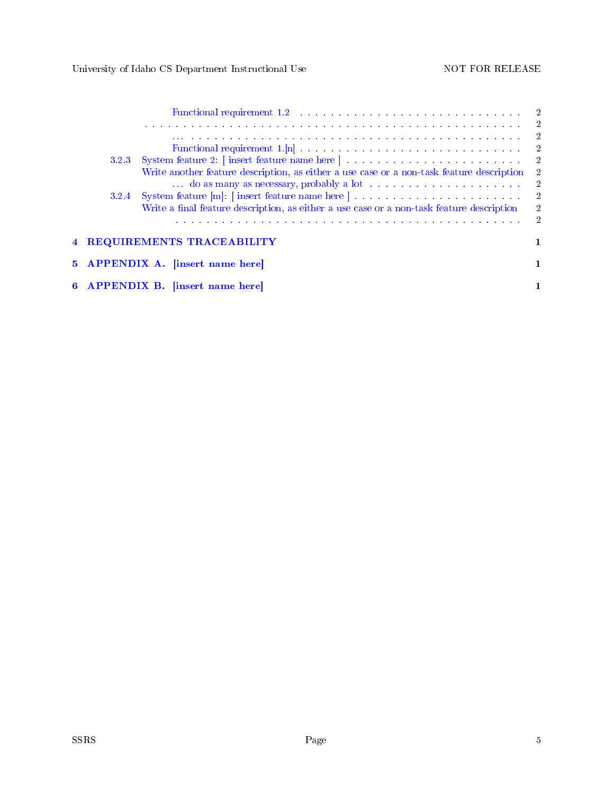|       | Functional requirement 1.2 and the set of the set of the set of the set of the set of the set of the set of the set of the set of the set of the set of the set of the set of the set of the set of the set of the set of the |                            |
|-------|-------------------------------------------------------------------------------------------------------------------------------------------------------------------------------------------------------------------------------|----------------------------|
|       | a constitution de la constitution de la constitución de la constitución de la constitución de la constitución                                                                                                                 | $\overline{2}$             |
|       | a de la caractería de la caractería de la caractería de la caractería de la caractería de la caractería de la                                                                                                                 | $\overline{\phantom{a}}^2$ |
|       |                                                                                                                                                                                                                               | $\overline{\phantom{0}}^2$ |
| 3.2.3 |                                                                                                                                                                                                                               | $\overline{2}$             |
|       | Write another feature description, as either a use case or a non-task feature description                                                                                                                                     | $\overline{2}$             |
|       |                                                                                                                                                                                                                               | $\overline{2}$             |
| 3.2.4 |                                                                                                                                                                                                                               | $\overline{\phantom{a}}^2$ |
|       | Write a final feature description, as either a use case or a non-task feature description                                                                                                                                     | $\overline{2}$             |
|       | the contract of the contract of the contract of the contract of the contract of the contract of the contract of                                                                                                               | 2                          |
|       | 4 REQUIREMENTS TRACEABILITY                                                                                                                                                                                                   |                            |
|       | 5 APPENDIX A. [insert name here]                                                                                                                                                                                              |                            |
|       | 6 APPENDIX B. [insert name here]                                                                                                                                                                                              |                            |
|       |                                                                                                                                                                                                                               |                            |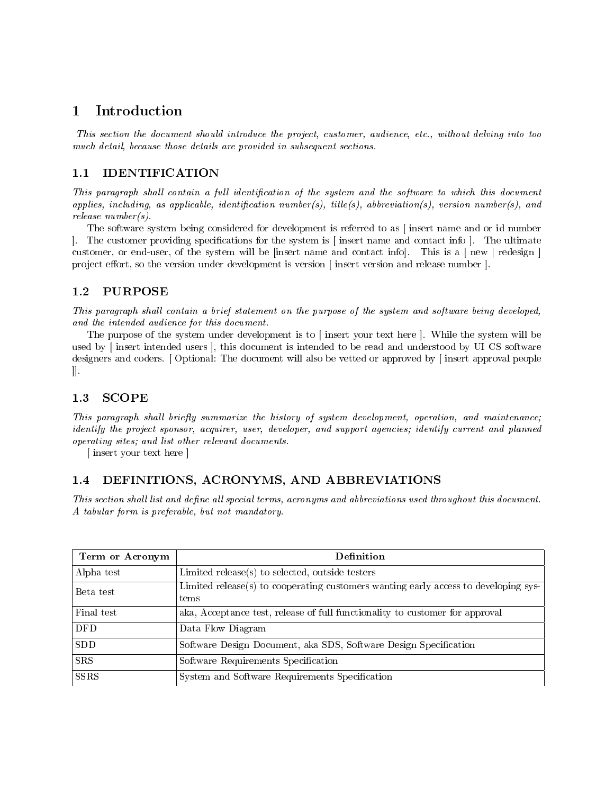# <span id="page-5-0"></span>1 Introduction

This section the document should introduce the project, customer, audience, etc., without delving into too much detail, because those details are provided in subsequent sections.

# <span id="page-5-1"></span>1.1 IDENTIFICATION

This paragraph shall contain a full identification of the system and the software to which this document applies, including, as applicable, identification number(s), title(s), abbreviation(s), version number(s), and release number(s).

The software system being considered for development is referred to as [ insert name and or id number . The customer providing specifications for the system is  $\lceil$  insert name and contact info  $\lceil$ . The ultimate customer, or end-user, of the system will be [insert name and contact info]. This is a [ new | redesign ] project effort, so the version under development is version [insert version and release number ].

# <span id="page-5-2"></span>1.2 PURPOSE

This paragraph shall contain a brief statement on the purpose of the system and software being developed, and the intended audience for this document.

The purpose of the system under development is to [ insert your text here ]. While the system will be used by [ insert intended users ], this document is intended to be read and understood by UI CS software designers and coders. [ Optional: The document will also be vetted or approved by [ insert approval people ]].

# <span id="page-5-3"></span>1.3 SCOPE

This paragraph shall briefly summarize the history of system development, operation, and maintenance; identify the project sponsor, acquirer, user, developer, and support agencies; identify current and planned operating sites; and list other relevant documents.

[ insert your text here ]

# <span id="page-5-4"></span>1.4 DEFINITIONS, ACRONYMS, AND ABBREVIATIONS

This section shall list and define all special terms, acronyms and abbreviations used throughout this document. A tabular form is preferable, but not mandatory.

| Term or Acronym | Definition                                                                          |
|-----------------|-------------------------------------------------------------------------------------|
| Alpha test      | Limited release(s) to selected, outside testers                                     |
| Beta test       | Limited release(s) to cooperating customers wanting early access to developing sys- |
|                 | tems                                                                                |
| Final test      | aka, Acceptance test, release of full functionality to customer for approval        |
| <b>DFD</b>      | Data Flow Diagram                                                                   |
| <b>SDD</b>      | Software Design Document, aka SDS, Software Design Specification                    |
| <b>SRS</b>      | Software Requirements Specification                                                 |
| <b>SSRS</b>     | System and Software Requirements Specification                                      |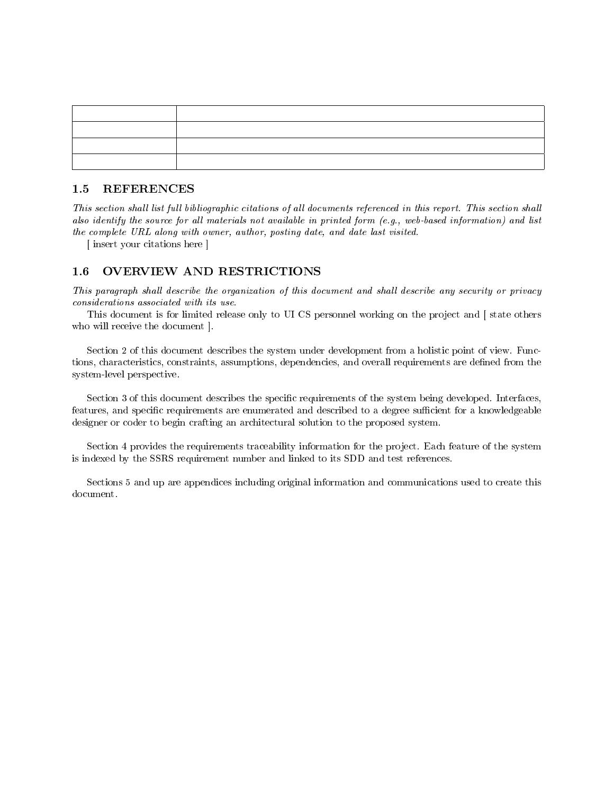### <span id="page-6-0"></span>1.5 REFERENCES

This section shall list full bibliographic citations of all documents referenced in this report. This section shall also identify the source for all materials not available in printed form (e.g., web-based information) and list the complete URL along with owner, author, posting date, and date last visited.

[ insert your citations here ]

# <span id="page-6-1"></span>1.6 OVERVIEW AND RESTRICTIONS

This paragraph shall describe the organization of this document and shall describe any security or privacy considerations associated with its use.

This document is for limited release only to UI CS personnel working on the project and  $\vert$  state others who will receive the document ].

Section 2 of this document describes the system under development from a holistic point of view. Functions, characteristics, constraints, assumptions, dependencies, and overall requirements are defined from the system-level perspective.

Section 3 of this document describes the specific requirements of the system being developed. Interfaces, features, and specific requirements are enumerated and described to a degree sufficient for a knowledgeable designer or coder to begin crafting an architectural solution to the proposed system.

Section 4 provides the requirements traceability information for the project. Each feature of the system is indexed by the SSRS requirement number and linked to its SDD and test references.

Sections 5 and up are appendices including original information and communications used to create this document.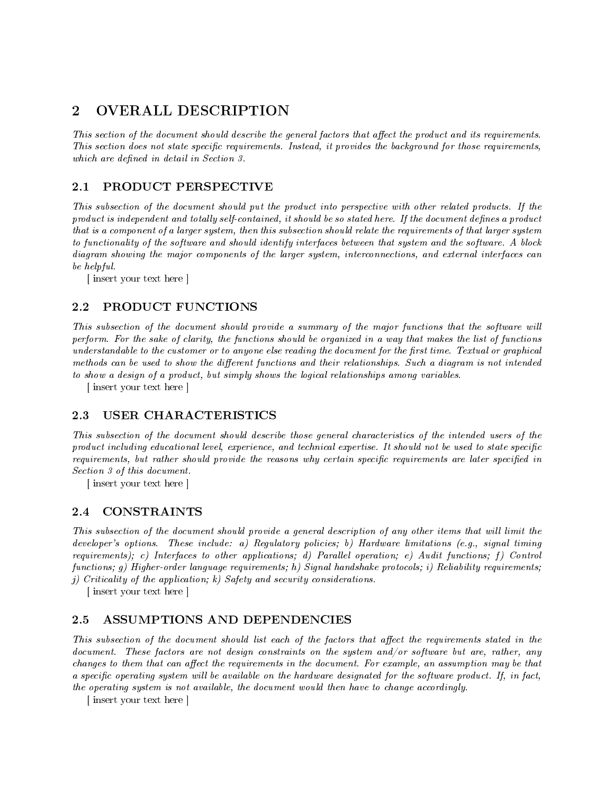# <span id="page-7-0"></span>2 OVERALL DESCRIPTION

This section of the document should describe the general factors that affect the product and its requirements. This section does not state specific requirements. Instead, it provides the background for those requirements, which are defined in detail in Section 3.

# <span id="page-7-1"></span>2.1 PRODUCT PERSPECTIVE

This subsection of the document should put the product into perspective with other related products. If the product is independent and totally self-contained, it should be so stated here. If the document defines a product that is a component of a larger system, then this subsection should relate the requirements of that larger system to functionality of the software and should identify interfaces between that system and the software. A block diagram showing the major components of the larger system, interconnections, and external interfaces can be helpful.

[ insert your text here ]

# <span id="page-7-2"></span>2.2 PRODUCT FUNCTIONS

This subsection of the document should provide a summary of the major functions that the software will perform. For the sake of clarity, the functions should be organized in a way that makes the list of functions understandable to the customer or to anyone else reading the document for the first time. Textual or graphical methods can be used to show the different functions and their relationships. Such a diagram is not intended to show a design of a product, but simply shows the logical relationships among variables.

[ insert your text here ]

# <span id="page-7-3"></span>2.3 USER CHARACTERISTICS

This subsection of the document should describe those general characteristics of the intended users of the product including educational level, experience, and technical expertise. It should not be used to state specific requirements, but rather should provide the reasons why certain specific requirements are later specified in Section 3 of this document.

[ insert your text here ]

# <span id="page-7-4"></span>2.4 CONSTRAINTS

This subsection of the document should provide a general description of any other items that will limit the developer's options. These include: a) Regulatory policies; b) Hardware limitations (e.g., signal timing requirements); c) Interfaces to other applications; d) Parallel operation; e) Audit functions; f) Control functions; g) Higher-order language requirements; h) Signal handshake protocols; i) Reliability requirements; j) Criticality of the application; k) Safety and security considerations.

[ insert your text here ]

# <span id="page-7-5"></span>2.5 ASSUMPTIONS AND DEPENDENCIES

This subsection of the document should list each of the factors that affect the requirements stated in the document. These factors are not design constraints on the system and/or software but are, rather, any changes to them that can affect the requirements in the document. For example, an assumption may be that a specific operating system will be available on the hardware designated for the software product. If, in fact, the operating system is not available, the document would then have to change accordingly.

[ insert your text here ]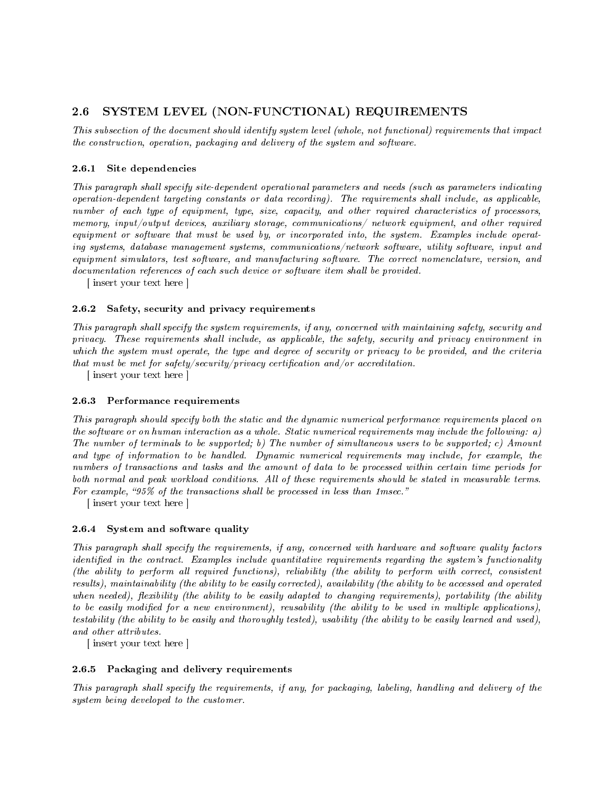# <span id="page-8-0"></span>2.6 SYSTEM LEVEL (NON-FUNCTIONAL) REQUIREMENTS

This subsection of the document should identify system level (whole, not functional) requirements that impact the construction, operation, packaging and delivery of the system and software.

#### <span id="page-8-1"></span>2.6.1 Site dependencies

This paragraph shall specify site-dependent operational parameters and needs (such as parameters indicating operation-dependent targeting constants or data recording). The requirements shall include, as applicable, number of each type of equipment, type, size, capacity, and other required characteristics of processors, memory, input/output devices, auxiliary storage, communications/ network equipment, and other required equipment or software that must be used by, or incorporated into, the system. Examples include operating systems, database management systems, communications/network software, utility software, input and equipment simulators, test software, and manufacturing software. The correct nomenclature, version, and documentation references of each such device or software item shall be provided.

[ insert your text here ]

#### <span id="page-8-2"></span>2.6.2 Safety, security and privacy requirements

This paragraph shall specify the system requirements, if any, concerned with maintaining safety, security and privacy. These requirements shall include, as applicable, the safety, security and privacy environment in which the system must operate, the type and degree of security or privacy to be provided, and the criteria that must be met for safety/security/privacy certification and/or accreditation.

[ insert your text here ]

#### <span id="page-8-3"></span>2.6.3 Performance requirements

This paragraph should specify both the static and the dynamic numerical performance requirements placed on the software or on human interaction as a whole. Static numerical requirements may include the following: a) The number of terminals to be supported; b) The number of simultaneous users to be supported; c) Amount and type of information to be handled. Dynamic numerical requirements may include, for example, the numbers of transactions and tasks and the amount of data to be processed within certain time periods for both normal and peak workload conditions. All of these requirements should be stated in measurable terms. For example, "95% of the transactions shall be processed in less than 1msec."

[ insert your text here ]

#### <span id="page-8-4"></span>2.6.4 System and software quality

This paragraph shall specify the requirements, if any, concerned with hardware and software quality factors identified in the contract. Examples include quantitative requirements regarding the system's functionality (the ability to perform all required functions), reliability (the ability to perform with correct, consistent results), maintainability (the ability to be easily corrected), availability (the ability to be accessed and operated when needed), flexibility (the ability to be easily adapted to changing requirements), portability (the ability to be easily modified for a new environment), reusability (the ability to be used in multiple applications), testability (the ability to be easily and thoroughly tested), usability (the ability to be easily learned and used), and other attributes.

[ insert your text here ]

#### <span id="page-8-5"></span>2.6.5 Packaging and delivery requirements

This paragraph shall specify the requirements, if any, for packaging, labeling, handling and delivery of the system being developed to the customer.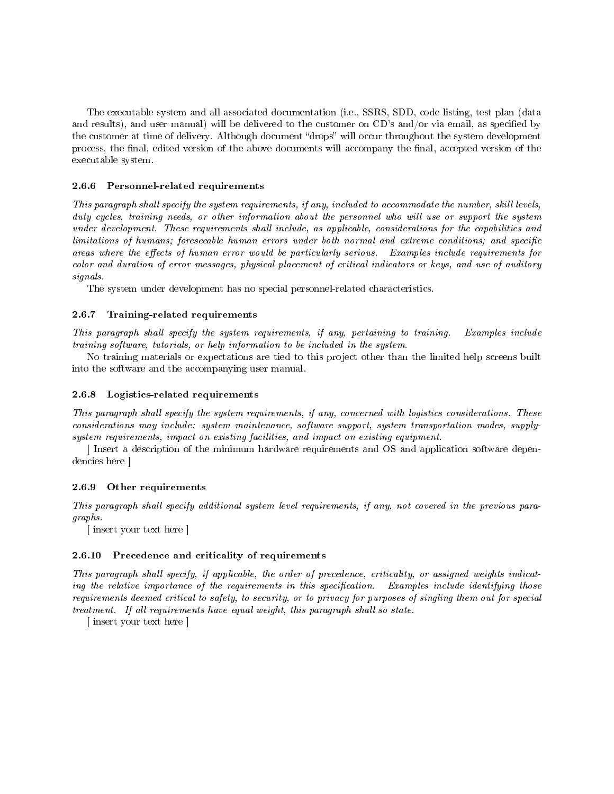The executable system and all associated documentation (i.e., SSRS, SDD, code listing, test plan (data and results), and user manual) will be delivered to the customer on  $CD$ 's and/or via email, as specified by the customer at time of delivery. Although document "drops" will occur throughout the system development process, the final, edited version of the above documents will accompany the final, accepted version of the executable system.

#### <span id="page-9-0"></span>2.6.6 Personnel-related requirements

This paragraph shall specify the system requirements, if any, included to accommodate the number, skill levels, duty cycles, training needs, or other information about the personnel who will use or support the system under development. These requirements shall include, as applicable, considerations for the capabilities and limitations of humans; foreseeable human errors under both normal and extreme conditions; and specific areas where the effects of human error would be particularly serious. Examples include requirements for color and duration of error messages, physical placement of critical indicators or keys, and use of auditory signals.

The system under development has no special personnel-related characteristics.

#### <span id="page-9-1"></span>2.6.7 Training-related requirements

This paragraph shall specify the system requirements, if any, pertaining to training. Examples include training software, tutorials, or help information to be included in the system.

No training materials or expectations are tied to this project other than the limited help screens built into the software and the accompanying user manual.

#### <span id="page-9-2"></span>2.6.8 Logistics-related requirements

This paragraph shall specify the system requirements, if any, concerned with logistics considerations. These considerations may include: system maintenance, software support, system transportation modes, supplysystem requirements, impact on existing facilities, and impact on existing equipment.

[ Insert a description of the minimum hardware requirements and OS and application software dependencies here ]

#### <span id="page-9-3"></span>2.6.9 Other requirements

This paragraph shall specify additional system level requirements, if any, not covered in the previous paragraphs.

[ insert your text here ]

#### <span id="page-9-4"></span>2.6.10 Precedence and criticality of requirements

This paragraph shall specify, if applicable, the order of precedence, criticality, or assigned weights indicating the relative importance of the requirements in this specification. Examples include identifying those requirements deemed critical to safety, to security, or to privacy for purposes of singling them out for special treatment. If all requirements have equal weight, this paragraph shall so state.

[ insert your text here ]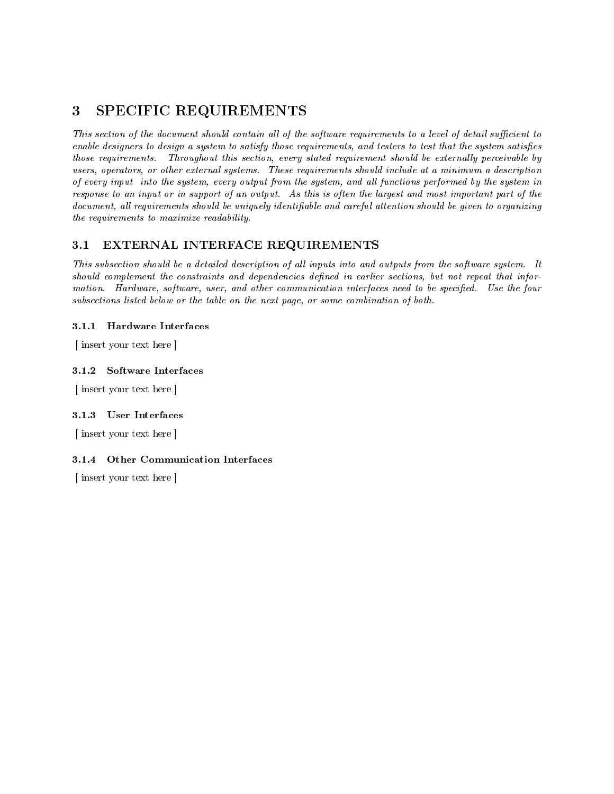# <span id="page-10-0"></span>3 SPECIFIC REQUIREMENTS

This section of the document should contain all of the software requirements to a level of detail sufficient to enable designers to design a system to satisfy those requirements, and testers to test that the system satisfies those requirements. Throughout this section, every stated requirement should be externally perceivable by users, operators, or other external systems. These requirements should include at a minimum a description of every input into the system, every output from the system, and all functions performed by the system in response to an input or in support of an output. As this is often the largest and most important part of the document, all requirements should be uniquely identifiable and careful attention should be given to organizing the requirements to maximize readability.

# <span id="page-10-1"></span>3.1 EXTERNAL INTERFACE REQUIREMENTS

This subsection should be a detailed description of all inputs into and outputs from the software system. It should complement the constraints and dependencies defined in earlier sections, but not repeat that information. Hardware, software, user, and other communication interfaces need to be specified. Use the four subsections listed below or the table on the next page, or some combination of both.

# <span id="page-10-2"></span>3.1.1 Hardware Interfaces

[ insert your text here ]

# <span id="page-10-3"></span>3.1.2 Software Interfaces

[ insert your text here ]

#### <span id="page-10-4"></span>3.1.3 User Interfaces

[ insert your text here ]

# <span id="page-10-5"></span>3.1.4 Other Communication Interfaces

[ insert your text here ]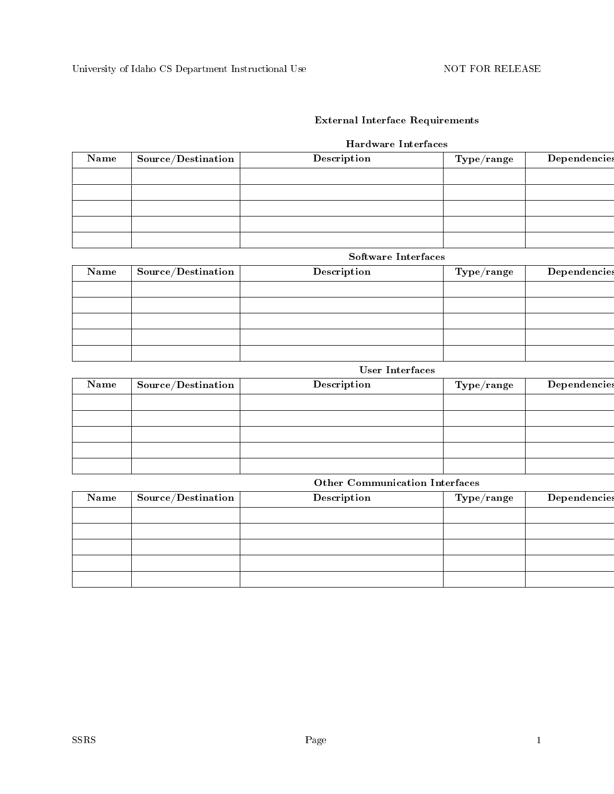# External Interface Requirements

# Hardware Interfaces

| Name | $\mid$ Source/Destination $\mid$ | Description | $\rm Type / range$ | Dependencies |
|------|----------------------------------|-------------|--------------------|--------------|
|      |                                  |             |                    |              |
|      |                                  |             |                    |              |
|      |                                  |             |                    |              |
|      |                                  |             |                    |              |
|      |                                  |             |                    |              |

# Software Interfaces

| Name | Source/Destination | Description | ${\rm Type}/{\rm range}$ | Dependencies |
|------|--------------------|-------------|--------------------------|--------------|
|      |                    |             |                          |              |
|      |                    |             |                          |              |
|      |                    |             |                          |              |
|      |                    |             |                          |              |
|      |                    |             |                          |              |

# User Interfaces

| Name | $\sim$ Source/Destination $\mid$ | Description | $\rm Type/range$ | Dependencies |
|------|----------------------------------|-------------|------------------|--------------|
|      |                                  |             |                  |              |
|      |                                  |             |                  |              |
|      |                                  |             |                  |              |
|      |                                  |             |                  |              |
|      |                                  |             |                  |              |

# Other Communication Interfaces

| Name | $\mid$ Source/Destination $\mid$ | Description | ${\rm Type}/{\rm range}$ | Dependencies |
|------|----------------------------------|-------------|--------------------------|--------------|
|      |                                  |             |                          |              |
|      |                                  |             |                          |              |
|      |                                  |             |                          |              |
|      |                                  |             |                          |              |
|      |                                  |             |                          |              |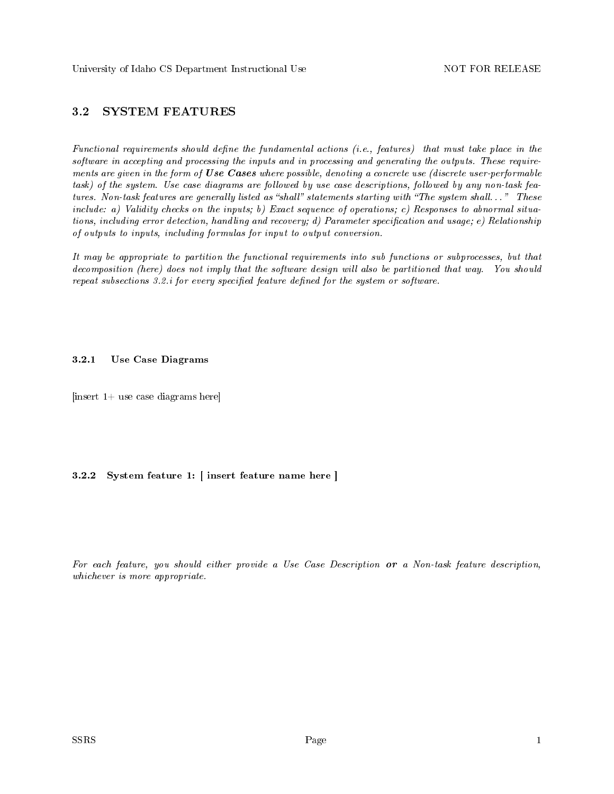# <span id="page-12-0"></span>3.2 SYSTEM FEATURES

Functional requirements should define the fundamental actions  $(i.e., features)$  that must take place in the software in accepting and processing the inputs and in processing and generating the outputs. These requirements are given in the form of Use Cases where possible, denoting a concrete use (discrete user-performable task) of the system. Use case diagrams are followed by use case descriptions, followed by any non-task features. Non-task features are generally listed as "shall" statements starting with "The system shall..." These include: a) Validity checks on the inputs; b) Exact sequence of operations; c) Responses to abnormal situations, including error detection, handling and recovery; d) Parameter specification and usage; e) Relationship of outputs to inputs, including formulas for input to output conversion.

It may be appropriate to partition the functional requirements into sub functions or subprocesses, but that decomposition (here) does not imply that the software design will also be partitioned that way. You should repeat subsections  $3.2.i$  for every specified feature defined for the system or software.

#### <span id="page-12-1"></span>3.2.1 Use Case Diagrams

 $[insert 1+ use case diagrams here]$ 

### <span id="page-12-2"></span>3.2.2 System feature 1: [ insert feature name here ]

For each feature, you should either provide a Use Case Description or a Non-task feature description, whichever is more appropriate.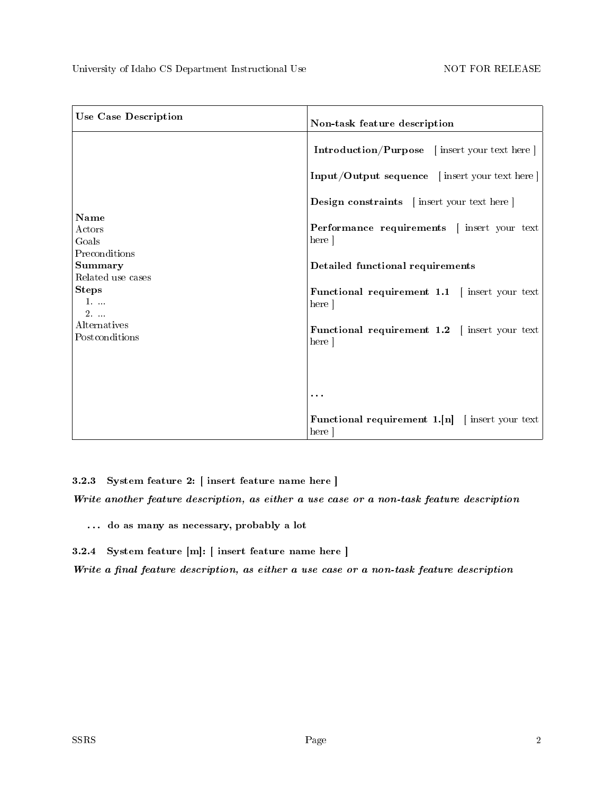<span id="page-13-6"></span><span id="page-13-5"></span><span id="page-13-4"></span><span id="page-13-3"></span><span id="page-13-2"></span><span id="page-13-1"></span><span id="page-13-0"></span>

| <b>Use Case Description</b>                     | Non-task feature description                                      |
|-------------------------------------------------|-------------------------------------------------------------------|
|                                                 | <b>Introduction/Purpose</b> [insert your text here]               |
|                                                 | Input/Output sequence [insert your text here]                     |
|                                                 | <b>Design constraints</b> [insert your text here]                 |
| <b>Name</b><br>Actors<br>Goals                  | Performance requirements   insert your text<br>here               |
| Preconditions<br><b>Summary</b>                 | Detailed functional requirements                                  |
| Related use cases<br><b>Steps</b><br>$1.$<br>2. | <b>Functional requirement 1.1</b> $\int$ insert your text<br>here |
| Alternatives<br>Postconditions                  | Functional requirement 1.2   insert your text<br>here ]           |
|                                                 |                                                                   |
|                                                 | $\cdots$                                                          |
|                                                 | <b>Functional requirement 1.</b> $[n]$ [insert your text]<br>here |

<span id="page-13-10"></span><span id="page-13-9"></span><span id="page-13-8"></span><span id="page-13-7"></span>3.2.3 System feature 2: [ insert feature name here ]

<span id="page-13-11"></span>Write another feature description, as either a use case or a non-task feature description

<span id="page-13-12"></span>. . . do as many as necessary, probably a lot

<span id="page-13-13"></span>3.2.4 System feature [m]: [ insert feature name here ]

<span id="page-13-14"></span>Write a final feature description, as either a use case or a non-task feature description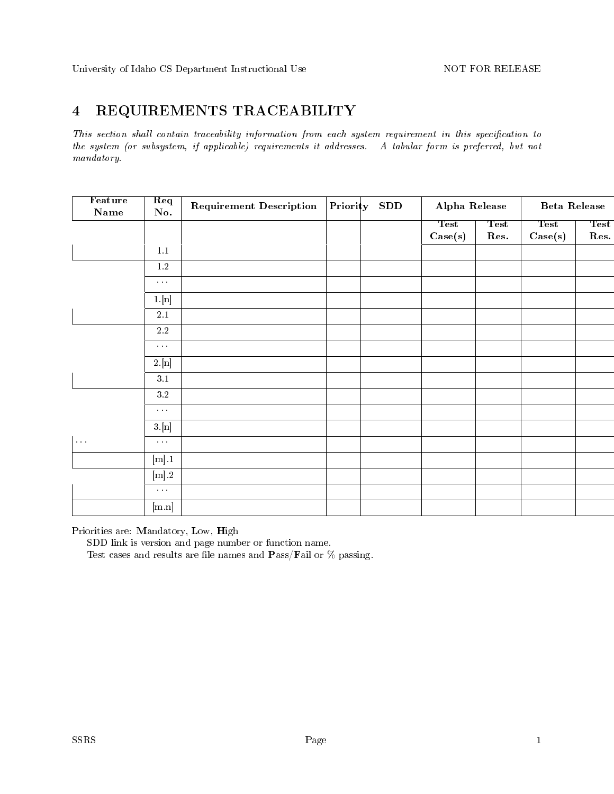# <span id="page-14-0"></span>4 REQUIREMENTS TRACEABILITY

This section shall contain traceability information from each system requirement in this specification to the system (or subsystem, if applicable) requirements it addresses. A tabular form is preferred, but not mandatory.

| Feature<br>$\mathbf{Name}$ | Req<br>No.                     | <b>Requirement Description</b> | Priority SDD | Alpha Release          |                     | <b>Beta Release</b>    |                     |
|----------------------------|--------------------------------|--------------------------------|--------------|------------------------|---------------------|------------------------|---------------------|
|                            |                                |                                |              | <b>Test</b><br>Case(s) | <b>Test</b><br>Res. | <b>Test</b><br>Case(s) | <b>Test</b><br>Res. |
|                            | $1.1\,$                        |                                |              |                        |                     |                        |                     |
|                            | $1.2\,$                        |                                |              |                        |                     |                        |                     |
|                            | $\alpha$ , $\alpha$ , $\alpha$ |                                |              |                        |                     |                        |                     |
|                            | 1.[n]                          |                                |              |                        |                     |                        |                     |
|                            | $2.1\,$                        |                                |              |                        |                     |                        |                     |
|                            | $2.2\,$                        |                                |              |                        |                     |                        |                     |
|                            | $\sim$ $\sim$                  |                                |              |                        |                     |                        |                     |
|                            | 2.[n]                          |                                |              |                        |                     |                        |                     |
|                            | $3.1\,$                        |                                |              |                        |                     |                        |                     |
|                            | $3.2\,$                        |                                |              |                        |                     |                        |                     |
|                            | $\sim$ $\sim$                  |                                |              |                        |                     |                        |                     |
|                            | $3.$ [n]                       |                                |              |                        |                     |                        |                     |
| $\sim 10$                  | $\sim 100$                     |                                |              |                        |                     |                        |                     |
|                            | $[\![\mathbf{m}]\!].1$         |                                |              |                        |                     |                        |                     |
|                            | $\left[ \text{m} \right]$ 2    |                                |              |                        |                     |                        |                     |
|                            | $\sim 100$                     |                                |              |                        |                     |                        |                     |
|                            | [m.n]                          |                                |              |                        |                     |                        |                     |

Priorities are: Mandatory, Low, High

SDD link is version and page number or function name.

Test cases and results are file names and  $\textbf{P} \text{ass}/\textbf{F}$ ail or % passing.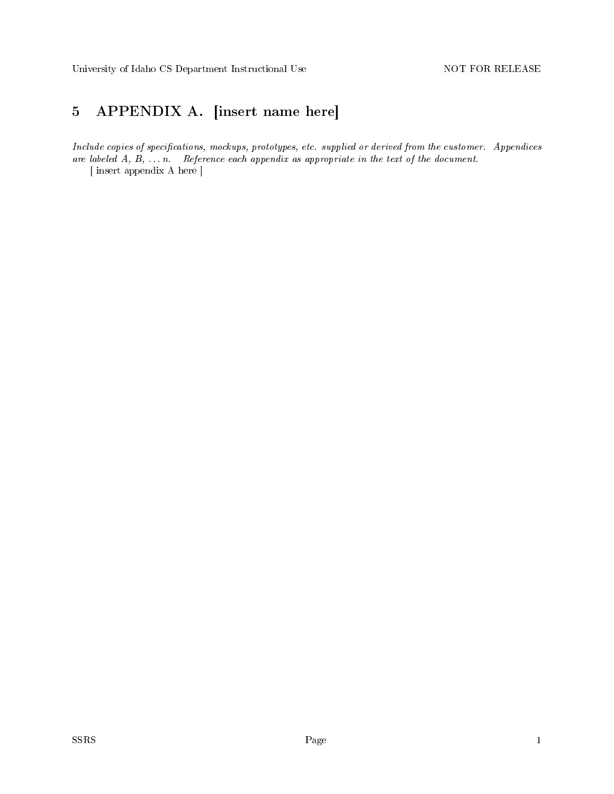# <span id="page-15-0"></span>5 APPENDIX A. [insert name here]

Include copies of specifications, mockups, prototypes, etc. supplied or derived from the customer. Appendices are labeled  $A, B, \ldots, n$ . Reference each appendix as appropriate in the text of the document.

[ insert appendix A here ]